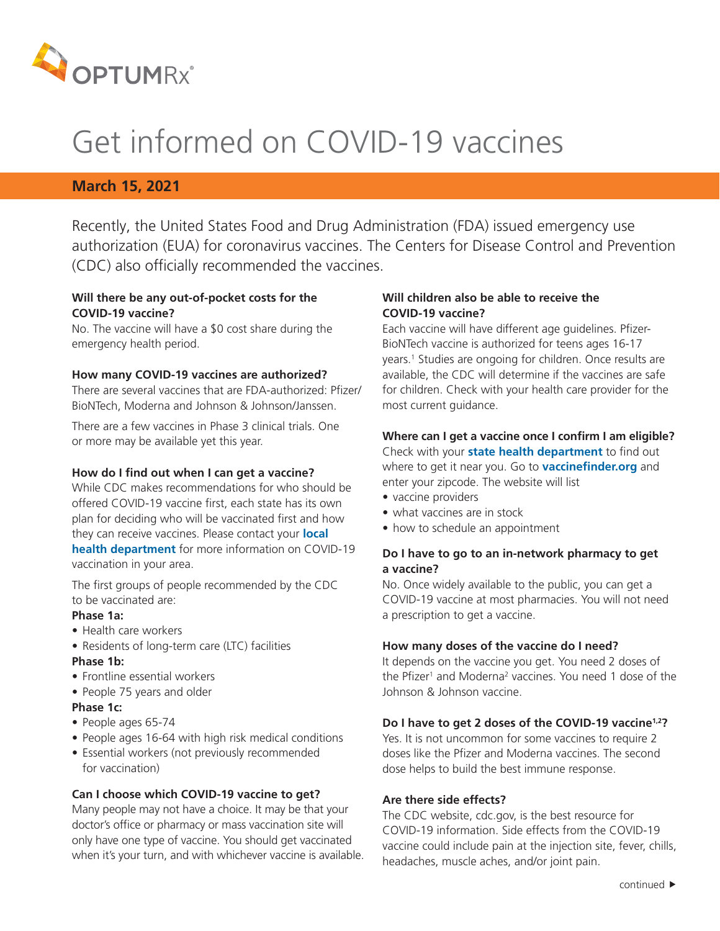

# Get informed on COVID-19 vaccines

### **March 15, 2021**

Recently, the United States Food and Drug Administration (FDA) issued emergency use authorization (EUA) for coronavirus vaccines. The Centers for Disease Control and Prevention (CDC) also officially recommended the vaccines.

#### **Will there be any out-of-pocket costs for the COVID-19 vaccine?**

No. The vaccine will have a \$0 cost share during the emergency health period.

#### **How many COVID-19 vaccines are authorized?**

There are several vaccines that are FDA-authorized: Pfizer/ BioNTech, Moderna and Johnson & Johnson/Janssen.

There are a few vaccines in Phase 3 clinical trials. One or more may be available yet this year.

#### **How do I find out when I can get a vaccine?**

While CDC makes recommendations for who should be offered COVID-19 vaccine first, each state has its own plan for deciding who will be vaccinated first and how they can receive vaccines. Please contact your **[local](https://www.naccho.org/membership/lhd-directory)  [health department](https://www.naccho.org/membership/lhd-directory)** for more information on COVID-19 vaccination in your area.

The first groups of people recommended by the CDC to be vaccinated are:

#### **Phase 1a:**

- Health care workers
- Residents of long-term care (LTC) facilities

#### **Phase 1b:**

- Frontline essential workers
- People 75 years and older

#### **Phase 1c:**

- People ages 65-74
- People ages 16-64 with high risk medical conditions
- Essential workers (not previously recommended for vaccination)

#### **Can I choose which COVID-19 vaccine to get?**

Many people may not have a choice. It may be that your doctor's office or pharmacy or mass vaccination site will only have one type of vaccine. You should get vaccinated when it's your turn, and with whichever vaccine is available.

#### **Will children also be able to receive the COVID-19 vaccine?**

Each vaccine will have different age guidelines. Pfizer-BioNTech vaccine is authorized for teens ages 16-17 years.1 Studies are ongoing for children. Once results are available, the CDC will determine if the vaccines are safe for children. Check with your health care provider for the most current guidance.

## **Where can I get a vaccine once I confirm I am eligible?**

Check with your **[state health department](https://www.cdc.gov/publichealthgateway/healthdirectories/healthdepartments.html)** to find out where to get it near you. Go to **[vaccinefinder.org](https://vaccinefinder.org/find-vaccine)** and enter your zipcode. The website will list

- vaccine providers
- what vaccines are in stock
- how to schedule an appointment

#### **Do I have to go to an in-network pharmacy to get a vaccine?**

No. Once widely available to the public, you can get a COVID-19 vaccine at most pharmacies. You will not need a prescription to get a vaccine.

#### **How many doses of the vaccine do I need?**

It depends on the vaccine you get. You need 2 doses of the Pfizer<sup>1</sup> and Moderna<sup>2</sup> vaccines. You need 1 dose of the Johnson & Johnson vaccine.

#### **Do I have to get 2 doses of the COVID-19 vaccine1,2?**

Yes. It is not uncommon for some vaccines to require 2 doses like the Pfizer and Moderna vaccines. The second dose helps to build the best immune response.

#### **Are there side effects?**

The CDC website, cdc.gov, is the best resource for COVID-19 information. Side effects from the COVID-19 vaccine could include pain at the injection site, fever, chills, headaches, muscle aches, and/or joint pain.